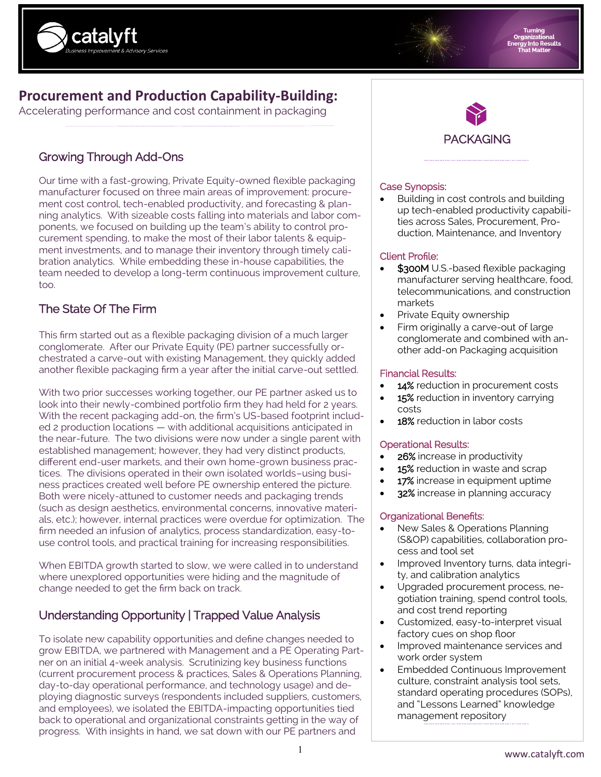

# **Procurement and Production Capability-Building:**

Accelerating performance and cost containment in packaging

## Growing Through Add-Ons

Our time with a fast-growing, Private Equity-owned flexible packaging manufacturer focused on three main areas of improvement: procurement cost control, tech-enabled productivity, and forecasting & planning analytics. With sizeable costs falling into materials and labor components, we focused on building up the team's ability to control procurement spending, to make the most of their labor talents & equipment investments, and to manage their inventory through timely calibration analytics. While embedding these in-house capabilities, the team needed to develop a long-term continuous improvement culture, too.

## The State Of The Firm

This firm started out as a flexible packaging division of a much larger conglomerate. After our Private Equity (PE) partner successfully orchestrated a carve-out with existing Management, they quickly added another flexible packaging firm a year after the initial carve-out settled.

With two prior successes working together, our PE partner asked us to look into their newly-combined portfolio firm they had held for 2 years. With the recent packaging add-on, the firm's US-based footprint included 2 production locations — with additional acquisitions anticipated in the near-future. The two divisions were now under a single parent with established management; however, they had very distinct products, different end-user markets, and their own home-grown business practices. The divisions operated in their own isolated worlds–using business practices created well before PE ownership entered the picture. Both were nicely-attuned to customer needs and packaging trends (such as design aesthetics, environmental concerns, innovative materials, etc.); however, internal practices were overdue for optimization. The firm needed an infusion of analytics, process standardization, easy-touse control tools, and practical training for increasing responsibilities.

When EBITDA growth started to slow, we were called in to understand where unexplored opportunities were hiding and the magnitude of change needed to get the firm back on track.

# Understanding Opportunity | Trapped Value Analysis

To isolate new capability opportunities and define changes needed to grow EBITDA, we partnered with Management and a PE Operating Partner on an initial 4-week analysis. Scrutinizing key business functions (current procurement process & practices, Sales & Operations Planning, day-to-day operational performance, and technology usage) and deploying diagnostic surveys (respondents included suppliers, customers, and employees), we isolated the EBITDA-impacting opportunities tied back to operational and organizational constraints getting in the way of progress. With insights in hand, we sat down with our PE partners and



### Case Synopsis:

• Building in cost controls and building up tech-enabled productivity capabilities across Sales, Procurement, Production, Maintenance, and Inventory

#### Client Profile:

- \$300M U.S.-based flexible packaging manufacturer serving healthcare, food, telecommunications, and construction markets
- Private Equity ownership
- Firm originally a carve-out of large conglomerate and combined with another add-on Packaging acquisition

#### Financial Results:

- 14% reduction in procurement costs
- 15% reduction in inventory carrying costs
- 18% reduction in labor costs

#### Operational Results:

- 26% increase in productivity
- 15% reduction in waste and scrap
- 17% increase in equipment uptime
- 32% increase in planning accuracy

#### Organizational Benefits:

- New Sales & Operations Planning (S&OP) capabilities, collaboration process and tool set
- Improved Inventory turns, data integrity, and calibration analytics
- Upgraded procurement process, negotiation training, spend control tools, and cost trend reporting
- Customized, easy-to-interpret visual factory cues on shop floor
- Improved maintenance services and work order system
- Embedded Continuous Improvement culture, constraint analysis tool sets, standard operating procedures (SOPs), and "Lessons Learned" knowledge management repository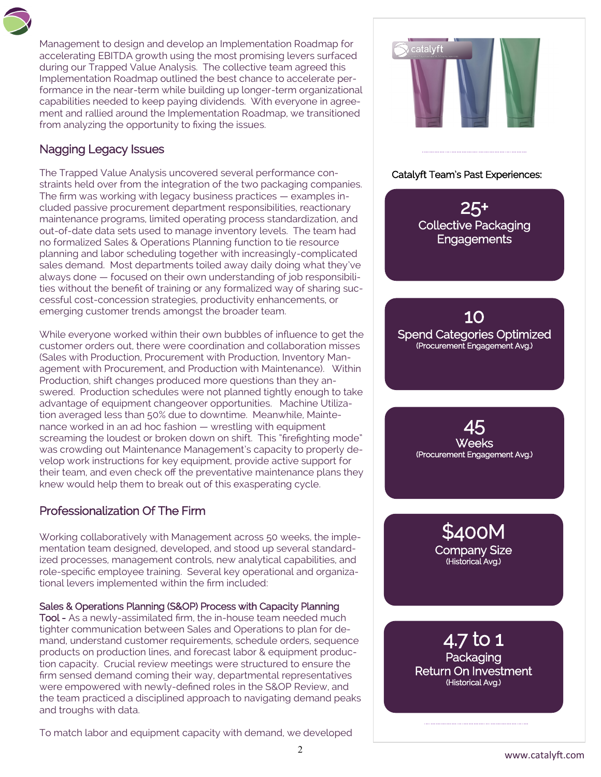Management to design and develop an Implementation Roadmap for accelerating EBITDA growth using the most promising levers surfaced during our Trapped Value Analysis. The collective team agreed this Implementation Roadmap outlined the best chance to accelerate performance in the near-term while building up longer-term organizational capabilities needed to keep paying dividends. With everyone in agreement and rallied around the Implementation Roadmap, we transitioned from analyzing the opportunity to fixing the issues.

# Nagging Legacy Issues

The Trapped Value Analysis uncovered several performance constraints held over from the integration of the two packaging companies. The firm was working with legacy business practices — examples included passive procurement department responsibilities, reactionary maintenance programs, limited operating process standardization, and out-of-date data sets used to manage inventory levels. The team had no formalized Sales & Operations Planning function to tie resource planning and labor scheduling together with increasingly-complicated sales demand. Most departments toiled away daily doing what they've always done — focused on their own understanding of job responsibilities without the benefit of training or any formalized way of sharing successful cost-concession strategies, productivity enhancements, or emerging customer trends amongst the broader team.

While everyone worked within their own bubbles of influence to get the customer orders out, there were coordination and collaboration misses (Sales with Production, Procurement with Production, Inventory Management with Procurement, and Production with Maintenance). Within Production, shift changes produced more questions than they answered. Production schedules were not planned tightly enough to take advantage of equipment changeover opportunities. Machine Utilization averaged less than 50% due to downtime. Meanwhile, Maintenance worked in an ad hoc fashion — wrestling with equipment screaming the loudest or broken down on shift. This "firefighting mode" was crowding out Maintenance Management's capacity to properly develop work instructions for key equipment, provide active support for their team, and even check off the preventative maintenance plans they knew would help them to break out of this exasperating cycle.

### Professionalization Of The Firm

Working collaboratively with Management across 50 weeks, the implementation team designed, developed, and stood up several standardized processes, management controls, new analytical capabilities, and role-specific employee training. Several key operational and organizational levers implemented within the firm included:

#### Sales & Operations Planning (S&OP) Process with Capacity Planning

Tool - As a newly-assimilated firm, the in-house team needed much tighter communication between Sales and Operations to plan for demand, understand customer requirements, schedule orders, sequence products on production lines, and forecast labor & equipment production capacity. Crucial review meetings were structured to ensure the firm sensed demand coming their way, departmental representatives were empowered with newly-defined roles in the S&OP Review, and the team practiced a disciplined approach to navigating demand peaks and troughs with data.



**Packaging** Return On Investment (Historical Avg.)

To match labor and equipment capacity with demand, we developed

2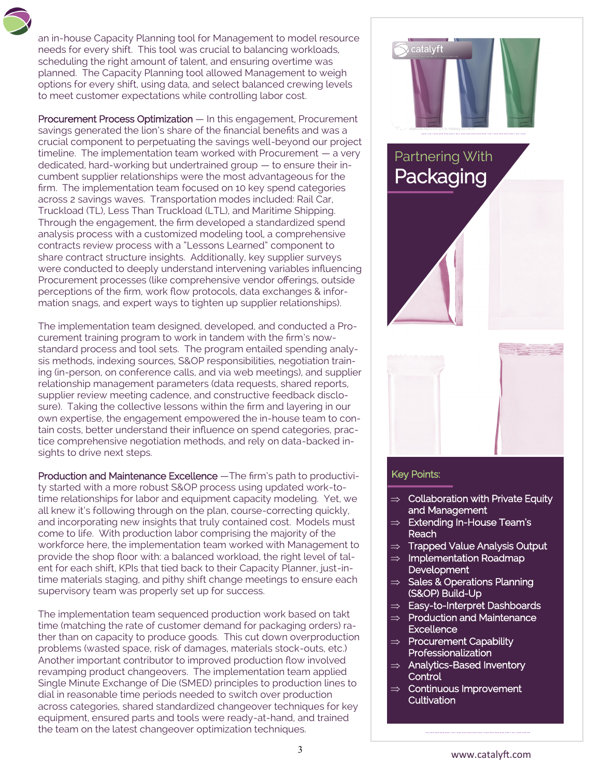an in-house Capacity Planning tool for Management to model resource needs for every shift. This tool was crucial to balancing workloads, scheduling the right amount of talent, and ensuring overtime was planned. The Capacity Planning tool allowed Management to weigh options for every shift, using data, and select balanced crewing levels to meet customer expectations while controlling labor cost.

Procurement Process Optimization - In this engagement, Procurement savings generated the lion's share of the financial benefits and was a crucial component to perpetuating the savings well-beyond our project timeline. The implementation team worked with Procurement — a very dedicated, hard-working but undertrained group — to ensure their incumbent supplier relationships were the most advantageous for the firm. The implementation team focused on 10 key spend categories across 2 savings waves. Transportation modes included: Rail Car, Truckload (TL), Less Than Truckload (LTL), and Maritime Shipping. Through the engagement, the firm developed a standardized spend analysis process with a customized modeling tool, a comprehensive contracts review process with a "Lessons Learned" component to share contract structure insights. Additionally, key supplier surveys were conducted to deeply understand intervening variables influencing Procurement processes (like comprehensive vendor offerings, outside perceptions of the firm, work flow protocols, data exchanges & information snags, and expert ways to tighten up supplier relationships).

The implementation team designed, developed, and conducted a Procurement training program to work in tandem with the firm's nowstandard process and tool sets. The program entailed spending analysis methods, indexing sources, S&OP responsibilities, negotiation training (in-person, on conference calls, and via web meetings), and supplier relationship management parameters (data requests, shared reports, supplier review meeting cadence, and constructive feedback disclosure). Taking the collective lessons within the firm and layering in our own expertise, the engagement empowered the in-house team to contain costs, better understand their influence on spend categories, practice comprehensive negotiation methods, and rely on data-backed insights to drive next steps.

Production and Maintenance Excellence - The firm's path to productivity started with a more robust S&OP process using updated work-totime relationships for labor and equipment capacity modeling. Yet, we all knew it's following through on the plan, course-correcting quickly, and incorporating new insights that truly contained cost. Models must come to life. With production labor comprising the majority of the workforce here, the implementation team worked with Management to provide the shop floor with: a balanced workload, the right level of talent for each shift, KPIs that tied back to their Capacity Planner, just-intime materials staging, and pithy shift change meetings to ensure each supervisory team was properly set up for success.

The implementation team sequenced production work based on takt time (matching the rate of customer demand for packaging orders) rather than on capacity to produce goods. This cut down overproduction problems (wasted space, risk of damages, materials stock-outs, etc.) Another important contributor to improved production flow involved revamping product changeovers. The implementation team applied Single Minute Exchange of Die (SMED) principles to production lines to dial in reasonable time periods needed to switch over production across categories, shared standardized changeover techniques for key equipment, ensured parts and tools were ready-at-hand, and trained the team on the latest changeover optimization techniques.





#### Key Points:

- $\Rightarrow$  Collaboration with Private Equity and Management
- $\Rightarrow$  Extending In-House Team's Reach
- $\Rightarrow$  Trapped Value Analysis Output
- $\Rightarrow$  Implementation Roadmap **Development**
- $\Rightarrow$  Sales & Operations Planning (S&OP) Build-Up
- $\Rightarrow$  Easy-to-Interpret Dashboards
- $\Rightarrow$  Production and Maintenance **Excellence**
- $\Rightarrow$  Procurement Capability **Professionalization**
- $\Rightarrow$  Analytics-Based Inventory **Control**
- $\Rightarrow$  Continuous Improvement **Cultivation**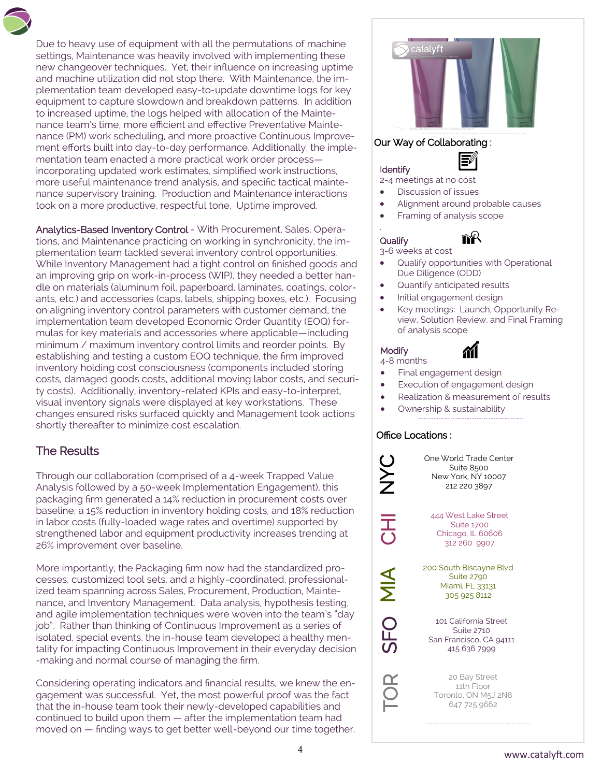Due to heavy use of equipment with all the permutations of machine settings, Maintenance was heavily involved with implementing these new changeover techniques. Yet, their influence on increasing uptime and machine utilization did not stop there. With Maintenance, the implementation team developed easy-to-update downtime logs for key equipment to capture slowdown and breakdown patterns. In addition to increased uptime, the logs helped with allocation of the Maintenance team's time, more efficient and effective Preventative Maintenance (PM) work scheduling, and more proactive Continuous Improvement efforts built into day-to-day performance. Additionally, the implementation team enacted a more practical work order process incorporating updated work estimates, simplified work instructions, more useful maintenance trend analysis, and specific tactical maintenance supervisory training. Production and Maintenance interactions took on a more productive, respectful tone. Uptime improved.

Analytics-Based Inventory Control - With Procurement, Sales, Operations, and Maintenance practicing on working in synchronicity, the implementation team tackled several inventory control opportunities. While Inventory Management had a tight control on finished goods and an improving grip on work-in-process (WIP), they needed a better handle on materials (aluminum foil, paperboard, laminates, coatings, colorants, etc.) and accessories (caps, labels, shipping boxes, etc.). Focusing on aligning inventory control parameters with customer demand, the implementation team developed Economic Order Quantity (EOQ) formulas for key materials and accessories where applicable—including minimum / maximum inventory control limits and reorder points. By establishing and testing a custom EOQ technique, the firm improved inventory holding cost consciousness (components included storing costs, damaged goods costs, additional moving labor costs, and security costs). Additionally, inventory-related KPIs and easy-to-interpret, visual inventory signals were displayed at key workstations. These changes ensured risks surfaced quickly and Management took actions shortly thereafter to minimize cost escalation.

### The Results

Through our collaboration (comprised of a 4-week Trapped Value Analysis followed by a 50-week Implementation Engagement), this packaging firm generated a 14% reduction in procurement costs over baseline, a 15% reduction in inventory holding costs, and 18% reduction in labor costs (fully-loaded wage rates and overtime) supported by strengthened labor and equipment productivity increases trending at 26% improvement over baseline.

More importantly, the Packaging firm now had the standardized processes, customized tool sets, and a highly-coordinated, professionalized team spanning across Sales, Procurement, Production, Maintenance, and Inventory Management. Data analysis, hypothesis testing, and agile implementation techniques were woven into the team's "day job". Rather than thinking of Continuous Improvement as a series of isolated, special events, the in-house team developed a healthy mentality for impacting Continuous Improvement in their everyday decision -making and normal course of managing the firm.

Considering operating indicators and financial results, we knew the engagement was successful. Yet, the most powerful proof was the fact that the in-house team took their newly-developed capabilities and continued to build upon them — after the implementation team had moved on — finding ways to get better well-beyond our time together.



#### Our Way of Collaborating :

### **Identify**

2-4 meetings at no cost

- Discussion of issues
- Alignment around probable causes
- Framing of analysis scope

### **Qualify**

.

3-6 weeks at cost

- Qualify opportunities with Operational Due Diligence (ODD)
- Quantify anticipated results
- Initial engagement design
- Key meetings: Launch, Opportunity Review, Solution Review, and Final Framing of analysis scope

#### **Modify**



- 4-8 months Final engagement design
- Execution of engagement design
- Realization & measurement of results
- Ownership & sustainability

#### Office Locations :

C<br>Z

こ<br>こ

 $\frac{\mathbf{A}}{\mathbf{\Sigma}}$ 

SFO

TOR

One World Trade Center Suite 8500 New York, NY 10007 212 220 3897

444 West Lake Street Suite 1700 Chicago, IL 60606 312 260 9907

200 South Biscayne Blvd Suite 2790 Miami, FL 33131 305 925 8112

101 California Street Suite 2710 San Francisco, CA 94111 415 636 7999

20 Bay Street 11th Floor Toronto, ON M5J 2N8 647 725 9662